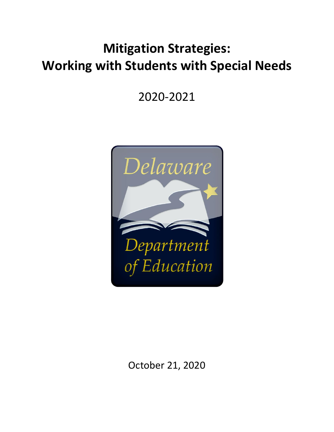# **Mitigation Strategies: Working with Students with Special Needs**

2020-2021



October 21, 2020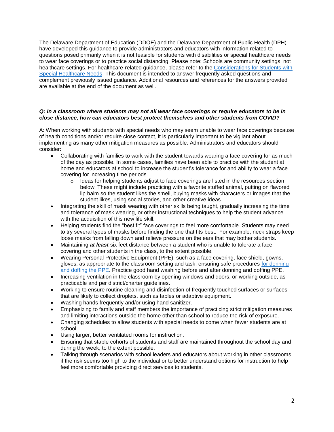The Delaware Department of Education (DDOE) and the Delaware Department of Public Health (DPH) have developed this guidance to provide administrators and educators with information related to questions posed primarily when it is not feasible for students with disabilities or special healthcare needs to wear face coverings or to practice social distancing. Please note: Schools are community settings, not healthcare settings. For healthcare-related guidance, please refer to the [Considerations for Students with](https://www.doe.k12.de.us/cms/lib/DE01922744/Centricity/Domain/150/Considerations%20for%20Students%20with%20Special%20Healthcare%20Needs%20Final.POST%209.25.20.pdf)  [Special Healthcare Needs.](https://www.doe.k12.de.us/cms/lib/DE01922744/Centricity/Domain/150/Considerations%20for%20Students%20with%20Special%20Healthcare%20Needs%20Final.POST%209.25.20.pdf) This document is intended to answer frequently asked questions and complement previously issued guidance. Additional resources and references for the answers provided are available at the end of the document as well.

## *Q: In a classroom where students may not all wear face coverings or require educators to be in close distance, how can educators best protect themselves and other students from COVID?*

A: When working with students with special needs who may seem unable to wear face coverings because of health conditions and/or require close contact, it is particularly important to be vigilant about implementing as many other mitigation measures as possible. Administrators and educators should consider:

- Collaborating with families to work with the student towards wearing a face covering for as much of the day as possible. In some cases, families have been able to practice with the student at home and educators at school to increase the student's tolerance for and ability to wear a face covering for increasing time periods.
	- $\circ$  Ideas for helping students adjust to face coverings are listed in the resources section below. These might include practicing with a favorite stuffed animal, putting on flavored lip balm so the student likes the smell, buying masks with characters or images that the student likes, using social stories, and other creative ideas.
- Integrating the skill of mask wearing with other skills being taught, gradually increasing the time and tolerance of mask wearing, or other instructional techniques to help the student advance with the acquisition of this new life skill.
- Helping students find the "best fit" face coverings to feel more comfortable. Students may need to try several types of masks before finding the one that fits best. For example, neck straps keep loose masks from falling down and relieve pressure on the ears that may bother students.
- Maintaining *at least* six feet distance between a student who is unable to tolerate a face covering and other students in the class, to the extent possible.
- Wearing Personal Protective Equipment (PPE), such as a face covering, face shield, gowns, gloves, as appropriate to the classroom setting and task, ensuring safe procedures [for donning](https://www.cdc.gov/coronavirus/2019-ncov/hcp/using-ppe.html)  [and doffing the PPE.](https://www.cdc.gov/coronavirus/2019-ncov/hcp/using-ppe.html) Practice good hand washing before and after donning and doffing PPE.
- Increasing ventilation in the classroom by opening windows and doors, or working outside, as practicable and per district/charter guidelines.
- Working to ensure routine cleaning and disinfection of frequently touched surfaces or surfaces that are likely to collect droplets, such as tables or adaptive equipment.
- Washing hands frequently and/or using hand sanitizer.
- Emphasizing to family and staff members the importance of practicing strict mitigation measures and limiting interactions outside the home other than school to reduce the risk of exposure.
- Changing schedules to allow students with special needs to come when fewer students are at school.
- Using larger, better ventilated rooms for instruction.
- Ensuring that stable cohorts of students and staff are maintained throughout the school day and during the week, to the extent possible.
- Talking through scenarios with school leaders and educators about working in other classrooms if the risk seems too high to the individual or to better understand options for instruction to help feel more comfortable providing direct services to students.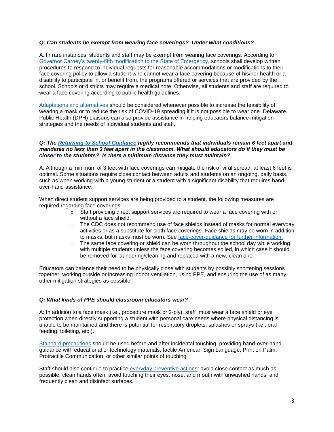## *Q: Can students be exempt from wearing face coverings? Under what conditions?*

A: In rare instances, students and staff may be exempt from wearing face coverings. According to [Governor Carney's twenty-fifth modification to the State of Emergency,](https://governor.delaware.gov/health-soe/twenty-fifth-state-of-emergency/) schools shall develop written procedures to respond to individual requests for reasonable accommodations or modifications to their face covering policy to allow a student who cannot wear a face covering because of his/her health or a disability to participate in, or benefit from, the programs offered or services that are provided by the school. Schools or districts may require a medical note. Otherwise, all students and staff are required to wear a face covering according to public health guidelines.

[Adaptations and alternatives](https://www.cdc.gov/coronavirus/2019-ncov/prevent-getting-sick/cloth-face-cover-guidance.html#feasibility-adaptations) should be considered whenever possible to increase the feasibility of wearing a mask or to reduce the risk of COVID-19 spreading if it is not possible to wear one. Delaware Public Health (DPH) Liaisons can also provide assistance in helping educators balance mitigation strategies and the needs of individual students and staff.

#### *Q: The [Returning to School Guidance](https://www.doe.k12.de.us/cms/lib/DE01922744/Centricity/Domain/599/ddoe_returningtoschool_guidance_final.pdf) highly recommends that individuals remain 6 feet apart and mandates no less than 3 feet apart in the classroom. What should educators do if they must be closer to the students? Is there a minimum distance they must maintain?*

A: Although a minimum of 3 feet with face coverings can mitigate the risk of viral spread, at least 6 feet is optimal. Some situations require close contact between adults and students on an ongoing, daily basis, such as when working with a young student or a student with a significant disability that requires handover-hand assistance.

When direct student support services are being provided to a student, the following measures are required regarding face coverings:

- $\circ$  Staff providing direct support services are required to wear a face covering with or without a face shield.
- $\circ$  The CDC does not recommend use of face shields instead of masks for normal everyday activities or as a substitute for cloth face coverings. Face shields may be worn in addition to masks, but masks must be worn. See [face-cover-guidance for further information.](https://www.cdc.gov/coronavirus/2019-ncov/prevent-getting-sick/cloth-face-cover-guidance.html)
- $\circ$  The same face covering or shield can be worn throughout the school day while working with multiple students unless the face covering becomes soiled, in which case it should be removed for laundering/cleaning and replaced with a new, clean one.

Educators can balance their need to be physically close with students by possibly shortening sessions together, working outside or increasing indoor ventilation, using PPE, and ensuring the use of as many other mitigation strategies as possible.

#### *Q: What kinds of PPE should classroom educators wear?*

A: In addition to a face mask (i.e., procedure mask or 2-ply), staff must wear a face shield or eye protection when directly supporting a student with personal care needs where physical distancing is unable to be maintained and there is potential for respiratory droplets, splashes or sprays (i.e., oral feeding, toileting, etc.).

[Standard precautions](https://www.cdc.gov/oralhealth/infectioncontrol/summary-infection-prevention-practices/standard-precautions.html) should be used before and after incidental touching, providing hand-over-hand guidance with educational or technology materials, tactile American Sign Language, Print on Palm, Protractile Communication, or other similar points of touching.

Staff should also continue to practice [everyday preventive actions:](https://www.cdc.gov/coronavirus/2019-ncov/prevent-getting-sick/prevention.html) avoid close contact as much as possible, clean hands often; avoid touching their eyes, nose, and mouth with unwashed hands; and frequently clean and disinfect surfaces.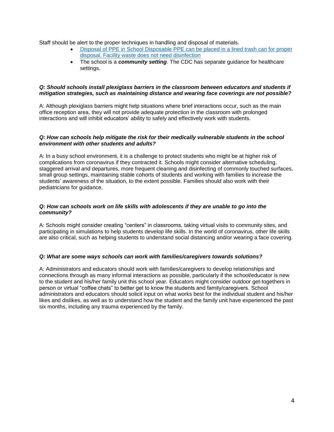Staff should be alert to the proper techniques in handling and disposal of materials.

- [Disposal of PPE in School Disposable PPE can be placed in a lined trash can for proper](https://www.cdc.gov/coronavirus/2019-ncov/community/general-business-faq.html#:~:text=Discard%20PPE%20into%20a%20trash,does%20not%20need%20disinfection)  [disposal. Facility waste does not need disinfection](https://www.cdc.gov/coronavirus/2019-ncov/community/general-business-faq.html#:~:text=Discard%20PPE%20into%20a%20trash,does%20not%20need%20disinfection)
- The school is a *community setting*. The CDC has separate guidance for healthcare settings.

## *Q: Should schools install plexiglass barriers in the classroom between educators and students if mitigation strategies, such as maintaining distance and wearing face coverings are not possible?*

A: Although plexiglass barriers might help situations where brief interactions occur, such as the main office reception area, they will not provide adequate protection in the classroom with prolonged interactions and will inhibit educators' ability to safely and effectively work with students.

### *Q: How can schools help mitigate the risk for their medically vulnerable students in the school environment with other students and adults?*

A: In a busy school environment, it is a challenge to protect students who might be at higher risk of complications from coronavirus if they contracted it. Schools might consider alternative scheduling, staggered arrival and departures, more frequent cleaning and disinfecting of commonly touched surfaces, small group settings, maintaining stable cohorts of students and working with families to increase the students' awareness of the situation, to the extent possible. Families should also work with their pediatricians for guidance.

### *Q: How can schools work on life skills with adolescents if they are unable to go into the community?*

A: Schools might consider creating "centers" in classrooms, taking virtual visits to community sites, and participating in simulations to help students develop life skills. In the world of coronavirus, other life skills are also critical, such as helping students to understand social distancing and/or wearing a face covering.

#### *Q: What are some ways schools can work with families/caregivers towards solutions?*

A: Administrators and educators should work with families/caregivers to develop relationships and connections through as many informal interactions as possible, particularly if the school/educator is new to the student and his/her family unit this school year. Educators might consider outdoor get-togethers in person or virtual "coffee chats" to better get to know the students and family/caregivers. School administrators and educators should solicit input on what works best for the individual student and his/her likes and dislikes, as well as to understand how the student and the family unit have experienced the past six months, including any trauma experienced by the family.